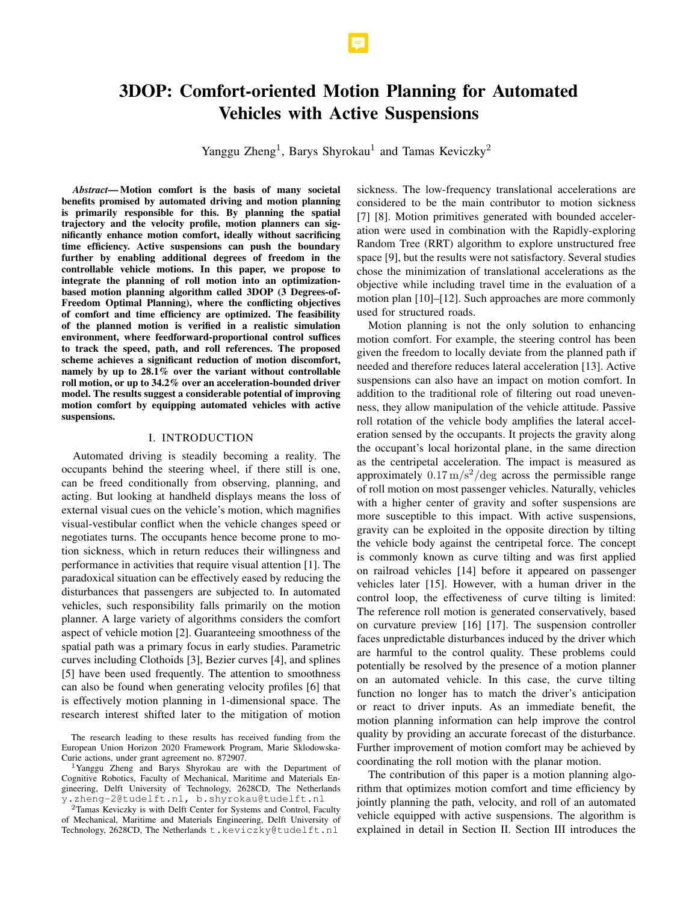# 3DOP: Comfort-oriented Motion Planning for Automated Vehicles with Active Suspensions

Yanggu Zheng<sup>1</sup>, Barys Shyrokau<sup>1</sup> and Tamas Keviczky<sup>2</sup>

*Abstract*— Motion comfort is the basis of many societal benefits promised by automated driving and motion planning is primarily responsible for this. By planning the spatial trajectory and the velocity profile, motion planners can significantly enhance motion comfort, ideally without sacrificing time efficiency. Active suspensions can push the boundary further by enabling additional degrees of freedom in the controllable vehicle motions. In this paper, we propose to integrate the planning of roll motion into an optimizationbased motion planning algorithm called 3DOP (3 Degrees-of-Freedom Optimal Planning), where the conflicting objectives of comfort and time efficiency are optimized. The feasibility of the planned motion is verified in a realistic simulation environment, where feedforward-proportional control suffices to track the speed, path, and roll references. The proposed scheme achieves a significant reduction of motion discomfort, namely by up to 28.1% over the variant without controllable roll motion, or up to 34.2% over an acceleration-bounded driver model. The results suggest a considerable potential of improving motion comfort by equipping automated vehicles with active suspensions.

# I. INTRODUCTION

Automated driving is steadily becoming a reality. The occupants behind the steering wheel, if there still is one, can be freed conditionally from observing, planning, and acting. But looking at handheld displays means the loss of external visual cues on the vehicle's motion, which magnifies visual-vestibular conflict when the vehicle changes speed or negotiates turns. The occupants hence become prone to motion sickness, which in return reduces their willingness and performance in activities that require visual attention [1]. The paradoxical situation can be effectively eased by reducing the disturbances that passengers are subjected to. In automated vehicles, such responsibility falls primarily on the motion planner. A large variety of algorithms considers the comfort aspect of vehicle motion [2]. Guaranteeing smoothness of the spatial path was a primary focus in early studies. Parametric curves including Clothoids [3], Bezier curves [4], and splines [5] have been used frequently. The attention to smoothness can also be found when generating velocity profiles [6] that is effectively motion planning in 1-dimensional space. The research interest shifted later to the mitigation of motion

sickness. The low-frequency translational accelerations are considered to be the main contributor to motion sickness [7] [8]. Motion primitives generated with bounded acceleration were used in combination with the Rapidly-exploring Random Tree (RRT) algorithm to explore unstructured free space [9], but the results were not satisfactory. Several studies chose the minimization of translational accelerations as the objective while including travel time in the evaluation of a motion plan [10]–[12]. Such approaches are more commonly used for structured roads.

Motion planning is not the only solution to enhancing motion comfort. For example, the steering control has been given the freedom to locally deviate from the planned path if needed and therefore reduces lateral acceleration [13]. Active suspensions can also have an impact on motion comfort. In addition to the traditional role of filtering out road unevenness, they allow manipulation of the vehicle attitude. Passive roll rotation of the vehicle body amplifies the lateral acceleration sensed by the occupants. It projects the gravity along the occupant's local horizontal plane, in the same direction as the centripetal acceleration. The impact is measured as approximately  $0.17 \,\mathrm{m/s^2/deg}$  across the permissible range of roll motion on most passenger vehicles. Naturally, vehicles with a higher center of gravity and softer suspensions are more susceptible to this impact. With active suspensions, gravity can be exploited in the opposite direction by tilting the vehicle body against the centripetal force. The concept is commonly known as curve tilting and was first applied on railroad vehicles [14] before it appeared on passenger vehicles later [15]. However, with a human driver in the control loop, the effectiveness of curve tilting is limited: The reference roll motion is generated conservatively, based on curvature preview [16] [17]. The suspension controller faces unpredictable disturbances induced by the driver which are harmful to the control quality. These problems could potentially be resolved by the presence of a motion planner on an automated vehicle. In this case, the curve tilting function no longer has to match the driver's anticipation or react to driver inputs. As an immediate benefit, the motion planning information can help improve the control quality by providing an accurate forecast of the disturbance. Further improvement of motion comfort may be achieved by coordinating the roll motion with the planar motion.

The contribution of this paper is a motion planning algorithm that optimizes motion comfort and time efficiency by jointly planning the path, velocity, and roll of an automated vehicle equipped with active suspensions. The algorithm is explained in detail in Section II. Section III introduces the

The research leading to these results has received funding from the European Union Horizon 2020 Framework Program, Marie Sklodowska-Curie actions, under grant agreement no. 872907.

<sup>1</sup>Yanggu Zheng and Barys Shyrokau are with the Department of Cognitive Robotics, Faculty of Mechanical, Maritime and Materials Engineering, Delft University of Technology, 2628CD, The Netherlands y.zheng-2@tudelft.nl, b.shyrokau@tudelft.nl

<sup>&</sup>lt;sup>2</sup>Tamas Keviczky is with Delft Center for Systems and Control, Faculty of Mechanical, Maritime and Materials Engineering, Delft University of Technology, 2628CD, The Netherlands t.keviczky@tudelft.nl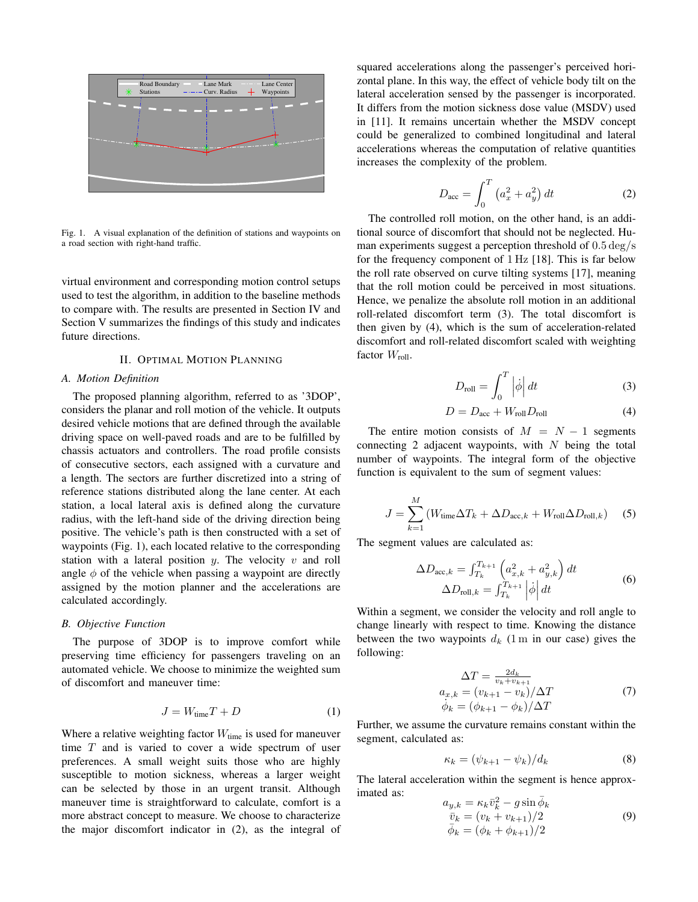

Fig. 1. A visual explanation of the definition of stations and waypoints on a road section with right-hand traffic.

virtual environment and corresponding motion control setups used to test the algorithm, in addition to the baseline methods to compare with. The results are presented in Section IV and Section V summarizes the findings of this study and indicates future directions.

# II. OPTIMAL MOTION PLANNING

#### *A. Motion Definition*

The proposed planning algorithm, referred to as '3DOP', considers the planar and roll motion of the vehicle. It outputs desired vehicle motions that are defined through the available driving space on well-paved roads and are to be fulfilled by chassis actuators and controllers. The road profile consists of consecutive sectors, each assigned with a curvature and a length. The sectors are further discretized into a string of reference stations distributed along the lane center. At each station, a local lateral axis is defined along the curvature radius, with the left-hand side of the driving direction being positive. The vehicle's path is then constructed with a set of waypoints (Fig. 1), each located relative to the corresponding station with a lateral position  $y$ . The velocity  $v$  and roll angle  $\phi$  of the vehicle when passing a waypoint are directly assigned by the motion planner and the accelerations are calculated accordingly.

#### *B. Objective Function*

The purpose of 3DOP is to improve comfort while preserving time efficiency for passengers traveling on an automated vehicle. We choose to minimize the weighted sum of discomfort and maneuver time:

$$
J = W_{\text{time}}T + D \tag{1}
$$

Where a relative weighting factor  $W_{time}$  is used for maneuver time  $T$  and is varied to cover a wide spectrum of user preferences. A small weight suits those who are highly susceptible to motion sickness, whereas a larger weight can be selected by those in an urgent transit. Although maneuver time is straightforward to calculate, comfort is a more abstract concept to measure. We choose to characterize the major discomfort indicator in (2), as the integral of

squared accelerations along the passenger's perceived horizontal plane. In this way, the effect of vehicle body tilt on the lateral acceleration sensed by the passenger is incorporated. It differs from the motion sickness dose value (MSDV) used in [11]. It remains uncertain whether the MSDV concept could be generalized to combined longitudinal and lateral accelerations whereas the computation of relative quantities increases the complexity of the problem.

$$
D_{\rm acc} = \int_0^T \left( a_x^2 + a_y^2 \right) dt
$$
 (2)

The controlled roll motion, on the other hand, is an additional source of discomfort that should not be neglected. Human experiments suggest a perception threshold of 0.5 deg/s for the frequency component of 1 Hz [18]. This is far below the roll rate observed on curve tilting systems [17], meaning that the roll motion could be perceived in most situations. Hence, we penalize the absolute roll motion in an additional roll-related discomfort term (3). The total discomfort is then given by (4), which is the sum of acceleration-related discomfort and roll-related discomfort scaled with weighting factor  $W_{roll}$ .

$$
D_{\text{roll}} = \int_0^T \left| \dot{\phi} \right| dt \tag{3}
$$

$$
D = D_{\text{acc}} + W_{\text{roll}} D_{\text{roll}} \tag{4}
$$

The entire motion consists of  $M = N - 1$  segments connecting 2 adjacent waypoints, with  $N$  being the total number of waypoints. The integral form of the objective function is equivalent to the sum of segment values:

$$
J = \sum_{k=1}^{M} \left( W_{\text{time}} \Delta T_k + \Delta D_{\text{acc},k} + W_{\text{roll}} \Delta D_{\text{roll},k} \right) \quad (5)
$$

The segment values are calculated as:

$$
\Delta D_{\text{acc},k} = \int_{T_k}^{T_{k+1}} \left( a_{x,k}^2 + a_{y,k}^2 \right) dt
$$
  

$$
\Delta D_{\text{roll},k} = \int_{T_k}^{T_{k+1}} \left| \dot{\phi} \right| dt
$$
 (6)

Within a segment, we consider the velocity and roll angle to change linearly with respect to time. Knowing the distance between the two waypoints  $d_k$  (1 m in our case) gives the following:

$$
\Delta T = \frac{2d_k}{v_k + v_{k+1}}
$$
  
\n
$$
a_{x,k} = (v_{k+1} - v_k) / \Delta T
$$
  
\n
$$
\dot{\phi}_k = (\phi_{k+1} - \phi_k) / \Delta T
$$
\n(7)

Further, we assume the curvature remains constant within the segment, calculated as:

$$
\kappa_k = (\psi_{k+1} - \psi_k)/d_k \tag{8}
$$

The lateral acceleration within the segment is hence approximated as:

$$
a_{y,k} = \kappa_k \bar{v}_k^2 - g \sin \bar{\phi}_k
$$
  
\n
$$
\bar{v}_k = (v_k + v_{k+1})/2
$$
  
\n
$$
\bar{\phi}_k = (\phi_k + \phi_{k+1})/2
$$
\n(9)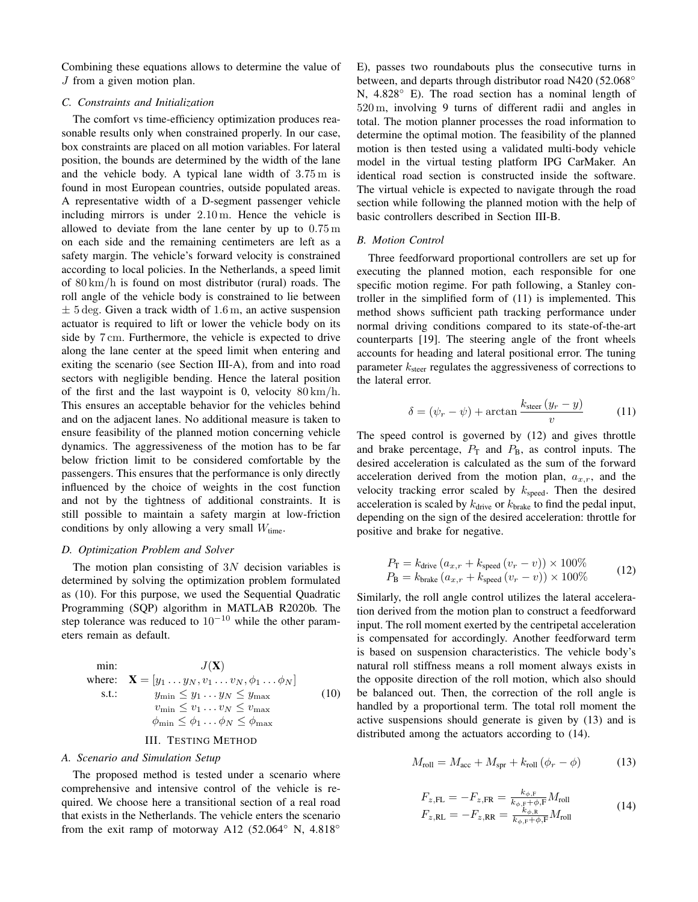Combining these equations allows to determine the value of J from a given motion plan.

# *C. Constraints and Initialization*

The comfort vs time-efficiency optimization produces reasonable results only when constrained properly. In our case, box constraints are placed on all motion variables. For lateral position, the bounds are determined by the width of the lane and the vehicle body. A typical lane width of 3.75 m is found in most European countries, outside populated areas. A representative width of a D-segment passenger vehicle including mirrors is under 2.10 m. Hence the vehicle is allowed to deviate from the lane center by up to 0.75 m on each side and the remaining centimeters are left as a safety margin. The vehicle's forward velocity is constrained according to local policies. In the Netherlands, a speed limit of 80 km/h is found on most distributor (rural) roads. The roll angle of the vehicle body is constrained to lie between  $\pm$  5 deg. Given a track width of 1.6 m, an active suspension actuator is required to lift or lower the vehicle body on its side by 7 cm. Furthermore, the vehicle is expected to drive along the lane center at the speed limit when entering and exiting the scenario (see Section III-A), from and into road sectors with negligible bending. Hence the lateral position of the first and the last waypoint is 0, velocity  $80 \text{ km/h}$ . This ensures an acceptable behavior for the vehicles behind and on the adjacent lanes. No additional measure is taken to ensure feasibility of the planned motion concerning vehicle dynamics. The aggressiveness of the motion has to be far below friction limit to be considered comfortable by the passengers. This ensures that the performance is only directly influenced by the choice of weights in the cost function and not by the tightness of additional constraints. It is still possible to maintain a safety margin at low-friction conditions by only allowing a very small  $W_{time}$ .

# *D. Optimization Problem and Solver*

The motion plan consisting of  $3N$  decision variables is determined by solving the optimization problem formulated as (10). For this purpose, we used the Sequential Quadratic Programming (SQP) algorithm in MATLAB R2020b. The step tolerance was reduced to  $10^{-10}$  while the other parameters remain as default.

min: 
$$
J(\mathbf{X})
$$
  
\nwhere:  $\mathbf{X} = [y_1 \dots y_N, v_1 \dots v_N, \phi_1 \dots \phi_N]$   
\ns.t.:  $y_{\min} \le y_1 \dots y_N \le y_{\max}$   
\n $v_{\min} \le v_1 \dots v_N \le v_{\max}$   
\n $\phi_{\min} \le \phi_1 \dots \phi_N \le \phi_{\max}$  (10)

# III. TESTING METHOD

# *A. Scenario and Simulation Setup*

The proposed method is tested under a scenario where comprehensive and intensive control of the vehicle is required. We choose here a transitional section of a real road that exists in the Netherlands. The vehicle enters the scenario from the exit ramp of motorway A12 (52.064 $\degree$  N, 4.818 $\degree$ 

E), passes two roundabouts plus the consecutive turns in between, and departs through distributor road N420 (52.068<sup>°</sup> N, 4.828◦ E). The road section has a nominal length of 520 m, involving 9 turns of different radii and angles in total. The motion planner processes the road information to determine the optimal motion. The feasibility of the planned motion is then tested using a validated multi-body vehicle model in the virtual testing platform IPG CarMaker. An identical road section is constructed inside the software. The virtual vehicle is expected to navigate through the road section while following the planned motion with the help of basic controllers described in Section III-B.

## *B. Motion Control*

Three feedforward proportional controllers are set up for executing the planned motion, each responsible for one specific motion regime. For path following, a Stanley controller in the simplified form of (11) is implemented. This method shows sufficient path tracking performance under normal driving conditions compared to its state-of-the-art counterparts [19]. The steering angle of the front wheels accounts for heading and lateral positional error. The tuning parameter  $k_{\text{steer}}$  regulates the aggressiveness of corrections to the lateral error.

$$
\delta = (\psi_r - \psi) + \arctan \frac{k_{\text{steer}} (y_r - y)}{v}
$$
 (11)

The speed control is governed by (12) and gives throttle and brake percentage,  $P_T$  and  $P_B$ , as control inputs. The desired acceleration is calculated as the sum of the forward acceleration derived from the motion plan,  $a_{x,r}$ , and the velocity tracking error scaled by  $k_{\text{speed}}$ . Then the desired acceleration is scaled by  $k_{\text{drive}}$  or  $k_{\text{brake}}$  to find the pedal input, depending on the sign of the desired acceleration: throttle for positive and brake for negative.

$$
P_{\rm T} = k_{\rm drive} (a_{x,r} + k_{\rm speed} (v_r - v)) \times 100\%
$$
  
\n
$$
P_{\rm B} = k_{\rm brake} (a_{x,r} + k_{\rm speed} (v_r - v)) \times 100\%
$$
 (12)

Similarly, the roll angle control utilizes the lateral acceleration derived from the motion plan to construct a feedforward input. The roll moment exerted by the centripetal acceleration is compensated for accordingly. Another feedforward term is based on suspension characteristics. The vehicle body's natural roll stiffness means a roll moment always exists in the opposite direction of the roll motion, which also should be balanced out. Then, the correction of the roll angle is handled by a proportional term. The total roll moment the active suspensions should generate is given by (13) and is distributed among the actuators according to (14).

$$
M_{\text{roll}} = M_{\text{acc}} + M_{\text{spr}} + k_{\text{roll}} \left( \phi_r - \phi \right) \tag{13}
$$

$$
F_{z,FL} = -F_{z,FR} = \frac{k_{\phi, F}}{k_{\phi, F} + \phi, F} M_{roll}
$$
  
\n
$$
F_{z,RL} = -F_{z,RR} = \frac{k_{\phi, R}}{k_{\phi, F} + \phi, F} M_{roll}
$$
\n(14)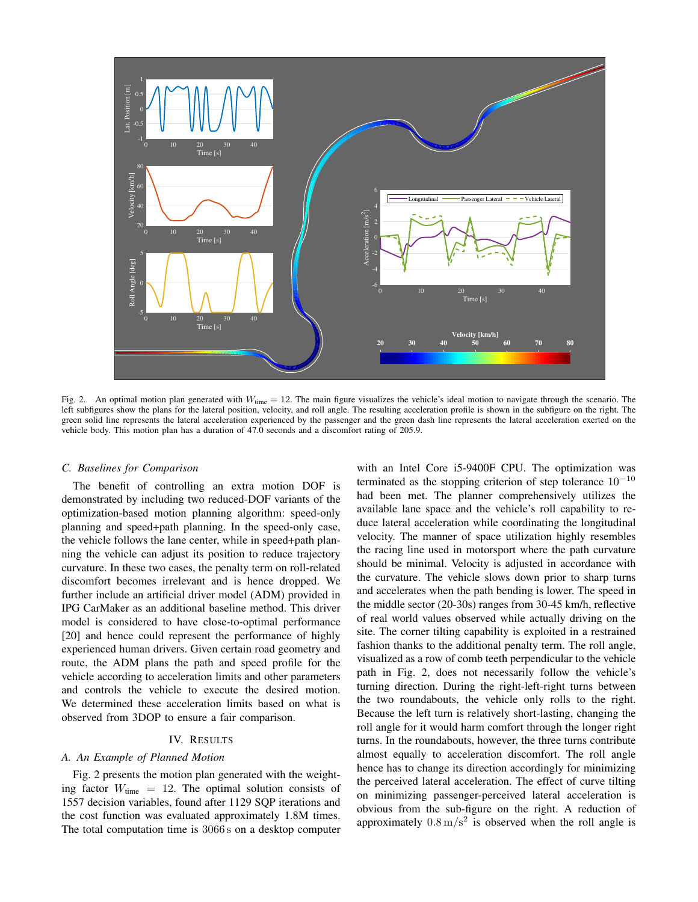

Fig. 2. An optimal motion plan generated with  $W_{time} = 12$ . The main figure visualizes the vehicle's ideal motion to navigate through the scenario. The left subfigures show the plans for the lateral position, velocity, and roll angle. The resulting acceleration profile is shown in the subfigure on the right. The green solid line represents the lateral acceleration experienced by the passenger and the green dash line represents the lateral acceleration exerted on the vehicle body. This motion plan has a duration of 47.0 seconds and a discomfort rating of 205.9.

# *C. Baselines for Comparison*

The benefit of controlling an extra motion DOF is demonstrated by including two reduced-DOF variants of the optimization-based motion planning algorithm: speed-only planning and speed+path planning. In the speed-only case, the vehicle follows the lane center, while in speed+path planning the vehicle can adjust its position to reduce trajectory curvature. In these two cases, the penalty term on roll-related discomfort becomes irrelevant and is hence dropped. We further include an artificial driver model (ADM) provided in IPG CarMaker as an additional baseline method. This driver model is considered to have close-to-optimal performance [20] and hence could represent the performance of highly experienced human drivers. Given certain road geometry and route, the ADM plans the path and speed profile for the vehicle according to acceleration limits and other parameters and controls the vehicle to execute the desired motion. We determined these acceleration limits based on what is observed from 3DOP to ensure a fair comparison.

# IV. RESULTS

# *A. An Example of Planned Motion*

Fig. 2 presents the motion plan generated with the weighting factor  $W_{time} = 12$ . The optimal solution consists of 1557 decision variables, found after 1129 SQP iterations and the cost function was evaluated approximately 1.8M times. The total computation time is 3066 s on a desktop computer with an Intel Core i5-9400F CPU. The optimization was terminated as the stopping criterion of step tolerance  $10^{-10}$ had been met. The planner comprehensively utilizes the available lane space and the vehicle's roll capability to reduce lateral acceleration while coordinating the longitudinal velocity. The manner of space utilization highly resembles the racing line used in motorsport where the path curvature should be minimal. Velocity is adjusted in accordance with the curvature. The vehicle slows down prior to sharp turns and accelerates when the path bending is lower. The speed in the middle sector (20-30s) ranges from 30-45 km/h, reflective of real world values observed while actually driving on the site. The corner tilting capability is exploited in a restrained fashion thanks to the additional penalty term. The roll angle, visualized as a row of comb teeth perpendicular to the vehicle path in Fig. 2, does not necessarily follow the vehicle's turning direction. During the right-left-right turns between the two roundabouts, the vehicle only rolls to the right. Because the left turn is relatively short-lasting, changing the roll angle for it would harm comfort through the longer right turns. In the roundabouts, however, the three turns contribute almost equally to acceleration discomfort. The roll angle hence has to change its direction accordingly for minimizing the perceived lateral acceleration. The effect of curve tilting on minimizing passenger-perceived lateral acceleration is obvious from the sub-figure on the right. A reduction of approximately  $0.8 \text{ m/s}^2$  is observed when the roll angle is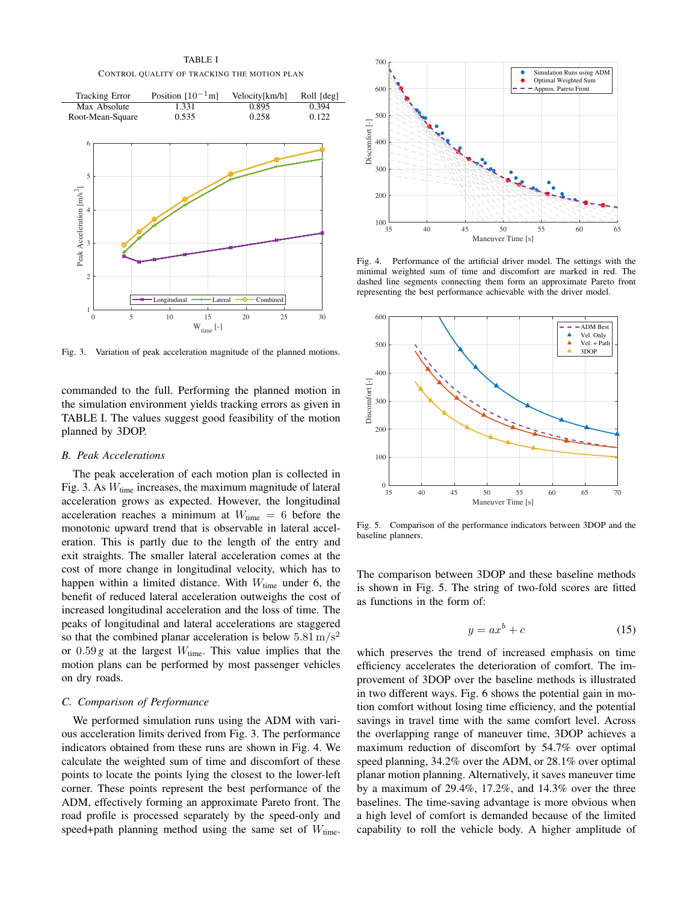TABLE I CONTROL QUALITY OF TRACKING THE MOTION PLAN



Fig. 3. Variation of peak acceleration magnitude of the planned motions.

commanded to the full. Performing the planned motion in the simulation environment yields tracking errors as given in TABLE I. The values suggest good feasibility of the motion planned by 3DOP.

#### *B. Peak Accelerations*

The peak acceleration of each motion plan is collected in Fig. 3. As  $W_{time}$  increases, the maximum magnitude of lateral acceleration grows as expected. However, the longitudinal acceleration reaches a minimum at  $W_{time} = 6$  before the monotonic upward trend that is observable in lateral acceleration. This is partly due to the length of the entry and exit straights. The smaller lateral acceleration comes at the cost of more change in longitudinal velocity, which has to happen within a limited distance. With  $W_{time}$  under 6, the benefit of reduced lateral acceleration outweighs the cost of increased longitudinal acceleration and the loss of time. The peaks of longitudinal and lateral accelerations are staggered so that the combined planar acceleration is below  $5.81 \text{ m/s}^2$ or  $0.59 g$  at the largest  $W_{time}$ . This value implies that the motion plans can be performed by most passenger vehicles on dry roads.

# *C. Comparison of Performance*

We performed simulation runs using the ADM with various acceleration limits derived from Fig. 3. The performance indicators obtained from these runs are shown in Fig. 4. We calculate the weighted sum of time and discomfort of these points to locate the points lying the closest to the lower-left corner. These points represent the best performance of the ADM, effectively forming an approximate Pareto front. The road profile is processed separately by the speed-only and speed+path planning method using the same set of  $W_{time}$ .



Fig. 4. Performance of the artificial driver model. The settings with the minimal weighted sum of time and discomfort are marked in red. The dashed line segments connecting them form an approximate Pareto front representing the best performance achievable with the driver model.



Fig. 5. Comparison of the performance indicators between 3DOP and the baseline planners.

The comparison between 3DOP and these baseline methods is shown in Fig. 5. The string of two-fold scores are fitted as functions in the form of:

$$
y = ax^b + c \tag{15}
$$

which preserves the trend of increased emphasis on time efficiency accelerates the deterioration of comfort. The improvement of 3DOP over the baseline methods is illustrated in two different ways. Fig. 6 shows the potential gain in motion comfort without losing time efficiency, and the potential savings in travel time with the same comfort level. Across the overlapping range of maneuver time, 3DOP achieves a maximum reduction of discomfort by 54.7% over optimal speed planning, 34.2% over the ADM, or 28.1% over optimal planar motion planning. Alternatively, it saves maneuver time by a maximum of 29.4%, 17.2%, and 14.3% over the three baselines. The time-saving advantage is more obvious when a high level of comfort is demanded because of the limited capability to roll the vehicle body. A higher amplitude of